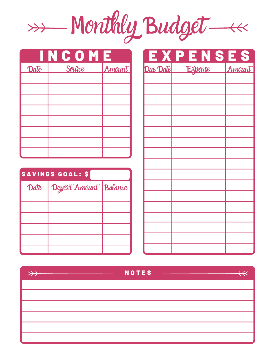Monthly Budget

|      | INCOME |        |
|------|--------|--------|
| Date | Source | Amount |
|      |        |        |
|      |        |        |
|      |        |        |
|      |        |        |
|      |        |        |
|      |        |        |
|      |        |        |

| SAVINGS GOAL: \$ |                                 |  |  |  |  |
|------------------|---------------------------------|--|--|--|--|
|                  | Date   Deposit Amount   Balance |  |  |  |  |
|                  |                                 |  |  |  |  |
|                  |                                 |  |  |  |  |
|                  |                                 |  |  |  |  |
|                  |                                 |  |  |  |  |
|                  |                                 |  |  |  |  |
|                  |                                 |  |  |  |  |

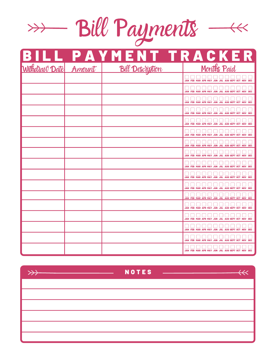

|  | <b>BILL PAYMENT TRACKER</b><br>Withdraw Date Amount Bill Description <b>Property Report Amount</b> |                                                  |
|--|----------------------------------------------------------------------------------------------------|--------------------------------------------------|
|  |                                                                                                    |                                                  |
|  |                                                                                                    | JAN FEB MAR APR MAY JUN JUL AUG SEPT OCT NOV DEC |
|  |                                                                                                    | JAN FEB MAR APR MAY JUN JUL AUG SEPT OCT NOV DEC |
|  |                                                                                                    | JAN FEB MAR APR MAY JUN JUL AUG SEPT OCT NOV DEC |
|  |                                                                                                    | JAN FEB MAR APR MAY JUN JUL AUG SEPT OCT NOV DEC |
|  |                                                                                                    | JAN FEB MAR APR MAY JUN JUL AUG SEPT OCT NOV DEC |
|  |                                                                                                    | JAN FEB MAR APR MAY JUN JUL AUG SEPT OCT NOV DEC |
|  |                                                                                                    | JAN FEB MAR APR MAY JUN JUL AUG SEPT OCT NOV DEC |
|  |                                                                                                    | JAN FEB MAR APR MAY JUN JUL AUG SEPT OCT NOV DEC |
|  |                                                                                                    | JAN FEB MAR APR MAY JUN JUL AUG SEPT OCT NOV DEC |
|  |                                                                                                    | JAN FEB MAR APR MAY JUN JUL AUG SEPT OCT NOV DEC |
|  |                                                                                                    | JAN FEB MAR APR MAY JUN JUL AUG SEPT OCT NOV DEC |
|  |                                                                                                    | JAN FEB MAR APR MAY JUN JUL AUG SEPT OCT NOV DEC |
|  |                                                                                                    | JAN FEB MAR APR MAY JUN JUL AUG SEPT OCT NOV DEC |
|  |                                                                                                    | JAN FEB MAR APR MAY JUN JUL AUG SEPT OCT NOV DEC |
|  |                                                                                                    | JAN FEB MAR APR MAY JUN JUL AUG SEPT OCT NOV DEC |
|  |                                                                                                    | JAN FEB MAR APR MAY JUN JUL AUG SEPT OCT NOV DEC |
|  |                                                                                                    | JAN FEB MAR APR MAY JUN JUL AUG SEPT OCT NOV DEC |